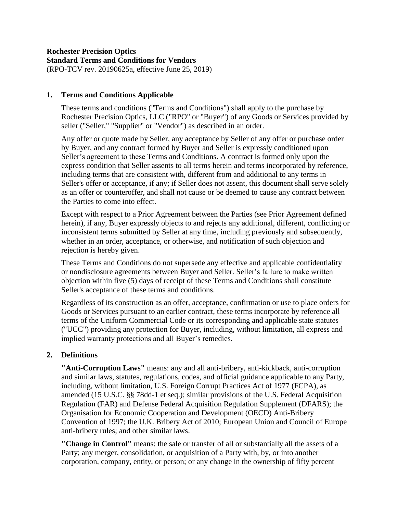### **Rochester Precision Optics Standard Terms and Conditions for Vendors** (RPO-TCV rev. 20190625a, effective June 25, 2019)

## **1. Terms and Conditions Applicable**

These terms and conditions ("Terms and Conditions") shall apply to the purchase by Rochester Precision Optics, LLC ("RPO" or "Buyer") of any Goods or Services provided by seller ("Seller," "Supplier" or "Vendor") as described in an order.

Any offer or quote made by Seller, any acceptance by Seller of any offer or purchase order by Buyer, and any contract formed by Buyer and Seller is expressly conditioned upon Seller's agreement to these Terms and Conditions. A contract is formed only upon the express condition that Seller assents to all terms herein and terms incorporated by reference, including terms that are consistent with, different from and additional to any terms in Seller's offer or acceptance, if any; if Seller does not assent, this document shall serve solely as an offer or counteroffer, and shall not cause or be deemed to cause any contract between the Parties to come into effect.

Except with respect to a Prior Agreement between the Parties (see Prior Agreement defined herein), if any, Buyer expressly objects to and rejects any additional, different, conflicting or inconsistent terms submitted by Seller at any time, including previously and subsequently, whether in an order, acceptance, or otherwise, and notification of such objection and rejection is hereby given.

These Terms and Conditions do not supersede any effective and applicable confidentiality or nondisclosure agreements between Buyer and Seller. Seller's failure to make written objection within five (5) days of receipt of these Terms and Conditions shall constitute Seller's acceptance of these terms and conditions.

Regardless of its construction as an offer, acceptance, confirmation or use to place orders for Goods or Services pursuant to an earlier contract, these terms incorporate by reference all terms of the Uniform Commercial Code or its corresponding and applicable state statutes ("UCC") providing any protection for Buyer, including, without limitation, all express and implied warranty protections and all Buyer's remedies.

# **2. Definitions**

**"Anti-Corruption Laws"** means: any and all anti-bribery, anti-kickback, anti-corruption and similar laws, statutes, regulations, codes, and official guidance applicable to any Party, including, without limitation, U.S. Foreign Corrupt Practices Act of 1977 (FCPA), as amended (15 U.S.C. §§ 78dd-1 et seq.); similar provisions of the U.S. Federal Acquisition Regulation (FAR) and Defense Federal Acquisition Regulation Supplement (DFARS); the Organisation for Economic Cooperation and Development (OECD) Anti-Bribery Convention of 1997; the U.K. Bribery Act of 2010; European Union and Council of Europe anti-bribery rules; and other similar laws.

**"Change in Control"** means: the sale or transfer of all or substantially all the assets of a Party; any merger, consolidation, or acquisition of a Party with, by, or into another corporation, company, entity, or person; or any change in the ownership of fifty percent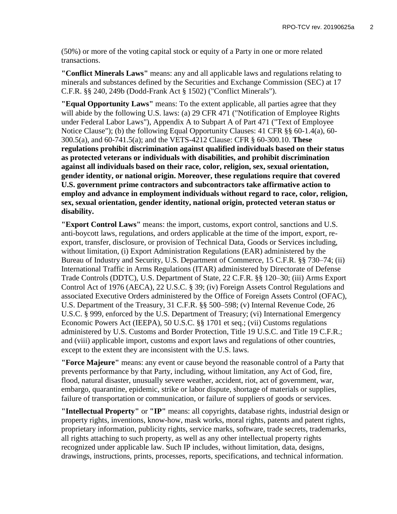(50%) or more of the voting capital stock or equity of a Party in one or more related transactions.

**"Conflict Minerals Laws"** means: any and all applicable laws and regulations relating to minerals and substances defined by the Securities and Exchange Commission (SEC) at 17 C.F.R. §§ 240, 249b (Dodd-Frank Act § 1502) ("Conflict Minerals").

**"Equal Opportunity Laws"** means: To the extent applicable, all parties agree that they will abide by the following U.S. laws: (a) 29 CFR 471 ("Notification of Employee Rights under Federal Labor Laws"), Appendix A to Subpart A of Part 471 ("Text of Employee Notice Clause"); (b) the following Equal Opportunity Clauses: 41 CFR §§ 60-1.4(a), 60- 300.5(a), and 60-741.5(a); and the VETS-4212 Clause: CFR § 60-300.10. **These regulations prohibit discrimination against qualified individuals based on their status as protected veterans or individuals with disabilities, and prohibit discrimination against all individuals based on their race, color, religion, sex, sexual orientation, gender identity, or national origin. Moreover, these regulations require that covered U.S. government prime contractors and subcontractors take affirmative action to employ and advance in employment individuals without regard to race, color, religion, sex, sexual orientation, gender identity, national origin, protected veteran status or disability.**

**"Export Control Laws"** means: the import, customs, export control, sanctions and U.S. anti-boycott laws, regulations, and orders applicable at the time of the import, export, reexport, transfer, disclosure, or provision of Technical Data, Goods or Services including, without limitation, (i) Export Administration Regulations (EAR) administered by the Bureau of Industry and Security, U.S. Department of Commerce, 15 C.F.R. §§ 730–74; (ii) International Traffic in Arms Regulations (ITAR) administered by Directorate of Defense Trade Controls (DDTC), U.S. Department of State, 22 C.F.R. §§ 120–30; (iii) Arms Export Control Act of 1976 (AECA), 22 U.S.C. § 39; (iv) Foreign Assets Control Regulations and associated Executive Orders administered by the Office of Foreign Assets Control (OFAC), U.S. Department of the Treasury, 31 C.F.R. §§ 500–598; (v) Internal Revenue Code, 26 U.S.C. § 999, enforced by the U.S. Department of Treasury; (vi) International Emergency Economic Powers Act (IEEPA), 50 U.S.C. §§ 1701 et seq.; (vii) Customs regulations administered by U.S. Customs and Border Protection, Title 19 U.S.C. and Title 19 C.F.R.; and (viii) applicable import, customs and export laws and regulations of other countries, except to the extent they are inconsistent with the U.S. laws.

**"Force Majeure"** means: any event or cause beyond the reasonable control of a Party that prevents performance by that Party, including, without limitation, any Act of God, fire, flood, natural disaster, unusually severe weather, accident, riot, act of government, war, embargo, quarantine, epidemic, strike or labor dispute, shortage of materials or supplies, failure of transportation or communication, or failure of suppliers of goods or services.

**"Intellectual Property"** or **"IP"** means: all copyrights, database rights, industrial design or property rights, inventions, know-how, mask works, moral rights, patents and patent rights, proprietary information, publicity rights, service marks, software, trade secrets, trademarks, all rights attaching to such property, as well as any other intellectual property rights recognized under applicable law. Such IP includes, without limitation, data, designs, drawings, instructions, prints, processes, reports, specifications, and technical information.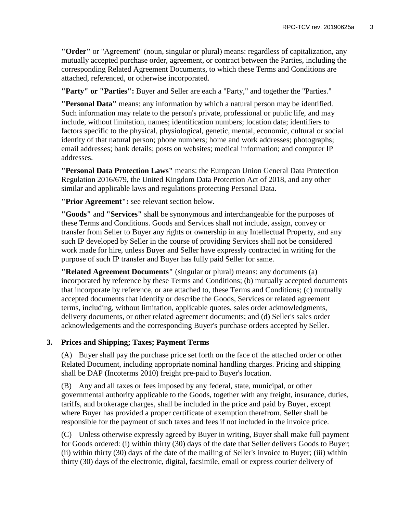**"Order"** or "Agreement" (noun, singular or plural) means: regardless of capitalization, any mutually accepted purchase order, agreement, or contract between the Parties, including the corresponding Related Agreement Documents, to which these Terms and Conditions are attached, referenced, or otherwise incorporated.

**"Party" or "Parties":** Buyer and Seller are each a "Party," and together the "Parties."

**"Personal Data"** means: any information by which a natural person may be identified. Such information may relate to the person's private, professional or public life, and may include, without limitation, names; identification numbers; location data; identifiers to factors specific to the physical, physiological, genetic, mental, economic, cultural or social identity of that natural person; phone numbers; home and work addresses; photographs; email addresses; bank details; posts on websites; medical information; and computer IP addresses.

**"Personal Data Protection Laws"** means: the European Union General Data Protection Regulation 2016/679, the United Kingdom Data Protection Act of 2018, and any other similar and applicable laws and regulations protecting Personal Data.

**"Prior Agreement":** see relevant section below.

**"Goods"** and **"Services"** shall be synonymous and interchangeable for the purposes of these Terms and Conditions. Goods and Services shall not include, assign, convey or transfer from Seller to Buyer any rights or ownership in any Intellectual Property, and any such IP developed by Seller in the course of providing Services shall not be considered work made for hire, unless Buyer and Seller have expressly contracted in writing for the purpose of such IP transfer and Buyer has fully paid Seller for same.

**"Related Agreement Documents"** (singular or plural) means: any documents (a) incorporated by reference by these Terms and Conditions; (b) mutually accepted documents that incorporate by reference, or are attached to, these Terms and Conditions; (c) mutually accepted documents that identify or describe the Goods, Services or related agreement terms, including, without limitation, applicable quotes, sales order acknowledgments, delivery documents, or other related agreement documents; and (d) Seller's sales order acknowledgements and the corresponding Buyer's purchase orders accepted by Seller.

# **3. Prices and Shipping; Taxes; Payment Terms**

(A) Buyer shall pay the purchase price set forth on the face of the attached order or other Related Document, including appropriate nominal handling charges. Pricing and shipping shall be DAP (Incoterms 2010) freight pre-paid to Buyer's location.

(B) Any and all taxes or fees imposed by any federal, state, municipal, or other governmental authority applicable to the Goods, together with any freight, insurance, duties, tariffs, and brokerage charges, shall be included in the price and paid by Buyer, except where Buyer has provided a proper certificate of exemption therefrom. Seller shall be responsible for the payment of such taxes and fees if not included in the invoice price.

(C) Unless otherwise expressly agreed by Buyer in writing, Buyer shall make full payment for Goods ordered: (i) within thirty (30) days of the date that Seller delivers Goods to Buyer; (ii) within thirty (30) days of the date of the mailing of Seller's invoice to Buyer; (iii) within thirty (30) days of the electronic, digital, facsimile, email or express courier delivery of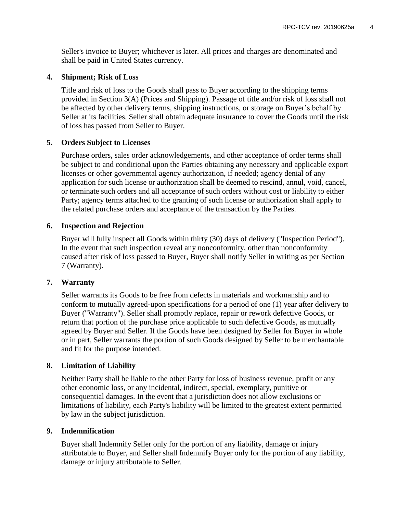Seller's invoice to Buyer; whichever is later. All prices and charges are denominated and shall be paid in United States currency.

### **4. Shipment; Risk of Loss**

Title and risk of loss to the Goods shall pass to Buyer according to the shipping terms provided in Section 3(A) (Prices and Shipping). Passage of title and/or risk of loss shall not be affected by other delivery terms, shipping instructions, or storage on Buyer's behalf by Seller at its facilities. Seller shall obtain adequate insurance to cover the Goods until the risk of loss has passed from Seller to Buyer.

### **5. Orders Subject to Licenses**

Purchase orders, sales order acknowledgements, and other acceptance of order terms shall be subject to and conditional upon the Parties obtaining any necessary and applicable export licenses or other governmental agency authorization, if needed; agency denial of any application for such license or authorization shall be deemed to rescind, annul, void, cancel, or terminate such orders and all acceptance of such orders without cost or liability to either Party; agency terms attached to the granting of such license or authorization shall apply to the related purchase orders and acceptance of the transaction by the Parties.

#### **6. Inspection and Rejection**

Buyer will fully inspect all Goods within thirty (30) days of delivery ("Inspection Period"). In the event that such inspection reveal any nonconformity, other than nonconformity caused after risk of loss passed to Buyer, Buyer shall notify Seller in writing as per Section 7 (Warranty).

## **7. Warranty**

Seller warrants its Goods to be free from defects in materials and workmanship and to conform to mutually agreed-upon specifications for a period of one (1) year after delivery to Buyer ("Warranty"). Seller shall promptly replace, repair or rework defective Goods, or return that portion of the purchase price applicable to such defective Goods, as mutually agreed by Buyer and Seller. If the Goods have been designed by Seller for Buyer in whole or in part, Seller warrants the portion of such Goods designed by Seller to be merchantable and fit for the purpose intended.

### **8. Limitation of Liability**

Neither Party shall be liable to the other Party for loss of business revenue, profit or any other economic loss, or any incidental, indirect, special, exemplary, punitive or consequential damages. In the event that a jurisdiction does not allow exclusions or limitations of liability, each Party's liability will be limited to the greatest extent permitted by law in the subject jurisdiction.

#### **9. Indemnification**

Buyer shall Indemnify Seller only for the portion of any liability, damage or injury attributable to Buyer, and Seller shall Indemnify Buyer only for the portion of any liability, damage or injury attributable to Seller.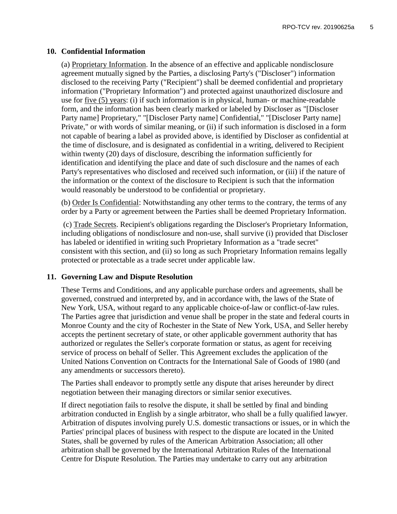### **10. Confidential Information**

(a) Proprietary Information. In the absence of an effective and applicable nondisclosure agreement mutually signed by the Parties, a disclosing Party's ("Discloser") information disclosed to the receiving Party ("Recipient") shall be deemed confidential and proprietary information ("Proprietary Information") and protected against unauthorized disclosure and use for five (5) years: (i) if such information is in physical, human- or machine-readable form, and the information has been clearly marked or labeled by Discloser as "[Discloser Party name] Proprietary," "[Discloser Party name] Confidential," "[Discloser Party name] Private," or with words of similar meaning, or (ii) if such information is disclosed in a form not capable of bearing a label as provided above, is identified by Discloser as confidential at the time of disclosure, and is designated as confidential in a writing, delivered to Recipient within twenty (20) days of disclosure, describing the information sufficiently for identification and identifying the place and date of such disclosure and the names of each Party's representatives who disclosed and received such information, or (iii) if the nature of the information or the context of the disclosure to Recipient is such that the information would reasonably be understood to be confidential or proprietary.

(b) Order Is Confidential: Notwithstanding any other terms to the contrary, the terms of any order by a Party or agreement between the Parties shall be deemed Proprietary Information.

(c) Trade Secrets. Recipient's obligations regarding the Discloser's Proprietary Information, including obligations of nondisclosure and non-use, shall survive (i) provided that Discloser has labeled or identified in writing such Proprietary Information as a "trade secret" consistent with this section, and (ii) so long as such Proprietary Information remains legally protected or protectable as a trade secret under applicable law.

### **11. Governing Law and Dispute Resolution**

These Terms and Conditions, and any applicable purchase orders and agreements, shall be governed, construed and interpreted by, and in accordance with, the laws of the State of New York, USA, without regard to any applicable choice-of-law or conflict-of-law rules. The Parties agree that jurisdiction and venue shall be proper in the state and federal courts in Monroe County and the city of Rochester in the State of New York, USA, and Seller hereby accepts the pertinent secretary of state, or other applicable government authority that has authorized or regulates the Seller's corporate formation or status, as agent for receiving service of process on behalf of Seller. This Agreement excludes the application of the United Nations Convention on Contracts for the International Sale of Goods of 1980 (and any amendments or successors thereto).

The Parties shall endeavor to promptly settle any dispute that arises hereunder by direct negotiation between their managing directors or similar senior executives.

If direct negotiation fails to resolve the dispute, it shall be settled by final and binding arbitration conducted in English by a single arbitrator, who shall be a fully qualified lawyer. Arbitration of disputes involving purely U.S. domestic transactions or issues, or in which the Parties' principal places of business with respect to the dispute are located in the United States, shall be governed by rules of the American Arbitration Association; all other arbitration shall be governed by the International Arbitration Rules of the International Centre for Dispute Resolution. The Parties may undertake to carry out any arbitration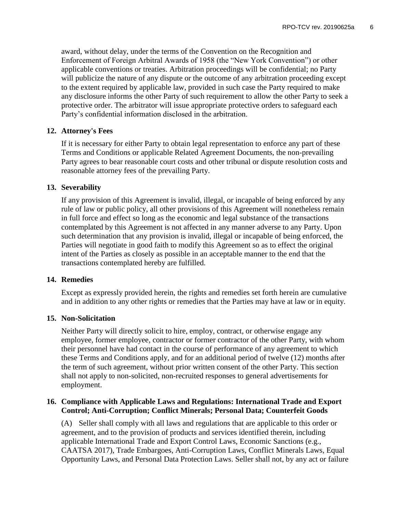award, without delay, under the terms of the Convention on the Recognition and Enforcement of Foreign Arbitral Awards of 1958 (the "New York Convention") or other applicable conventions or treaties. Arbitration proceedings will be confidential; no Party will publicize the nature of any dispute or the outcome of any arbitration proceeding except to the extent required by applicable law, provided in such case the Party required to make any disclosure informs the other Party of such requirement to allow the other Party to seek a protective order. The arbitrator will issue appropriate protective orders to safeguard each Party's confidential information disclosed in the arbitration.

### **12. Attorney's Fees**

If it is necessary for either Party to obtain legal representation to enforce any part of these Terms and Conditions or applicable Related Agreement Documents, the non-prevailing Party agrees to bear reasonable court costs and other tribunal or dispute resolution costs and reasonable attorney fees of the prevailing Party.

### **13. Severability**

If any provision of this Agreement is invalid, illegal, or incapable of being enforced by any rule of law or public policy, all other provisions of this Agreement will nonetheless remain in full force and effect so long as the economic and legal substance of the transactions contemplated by this Agreement is not affected in any manner adverse to any Party. Upon such determination that any provision is invalid, illegal or incapable of being enforced, the Parties will negotiate in good faith to modify this Agreement so as to effect the original intent of the Parties as closely as possible in an acceptable manner to the end that the transactions contemplated hereby are fulfilled.

### **14. Remedies**

Except as expressly provided herein, the rights and remedies set forth herein are cumulative and in addition to any other rights or remedies that the Parties may have at law or in equity.

### **15. Non-Solicitation**

Neither Party will directly solicit to hire, employ, contract, or otherwise engage any employee, former employee, contractor or former contractor of the other Party, with whom their personnel have had contact in the course of performance of any agreement to which these Terms and Conditions apply, and for an additional period of twelve (12) months after the term of such agreement, without prior written consent of the other Party. This section shall not apply to non-solicited, non-recruited responses to general advertisements for employment.

## **16. Compliance with Applicable Laws and Regulations: International Trade and Export Control; Anti-Corruption; Conflict Minerals; Personal Data; Counterfeit Goods**

(A) Seller shall comply with all laws and regulations that are applicable to this order or agreement, and to the provision of products and services identified therein, including applicable International Trade and Export Control Laws, Economic Sanctions (e.g., CAATSA 2017), Trade Embargoes, Anti-Corruption Laws, Conflict Minerals Laws, Equal Opportunity Laws, and Personal Data Protection Laws. Seller shall not, by any act or failure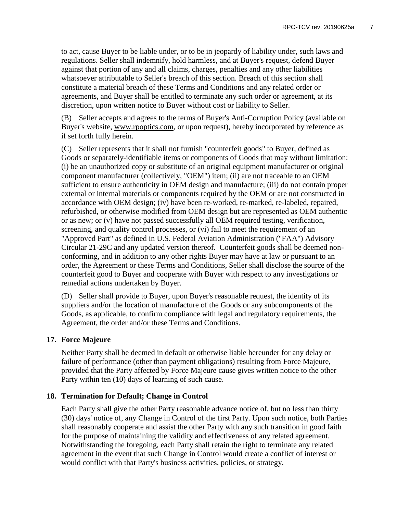to act, cause Buyer to be liable under, or to be in jeopardy of liability under, such laws and regulations. Seller shall indemnify, hold harmless, and at Buyer's request, defend Buyer against that portion of any and all claims, charges, penalties and any other liabilities whatsoever attributable to Seller's breach of this section. Breach of this section shall constitute a material breach of these Terms and Conditions and any related order or agreements, and Buyer shall be entitled to terminate any such order or agreement, at its discretion, upon written notice to Buyer without cost or liability to Seller.

(B) Seller accepts and agrees to the terms of Buyer's Anti-Corruption Policy (available on Buyer's website, www.rpoptics.com, or upon request), hereby incorporated by reference as if set forth fully herein.

(C) Seller represents that it shall not furnish "counterfeit goods" to Buyer, defined as Goods or separately-identifiable items or components of Goods that may without limitation: (i) be an unauthorized copy or substitute of an original equipment manufacturer or original component manufacturer (collectively, "OEM") item; (ii) are not traceable to an OEM sufficient to ensure authenticity in OEM design and manufacture; (iii) do not contain proper external or internal materials or components required by the OEM or are not constructed in accordance with OEM design; (iv) have been re-worked, re-marked, re-labeled, repaired, refurbished, or otherwise modified from OEM design but are represented as OEM authentic or as new; or (v) have not passed successfully all OEM required testing, verification, screening, and quality control processes, or (vi) fail to meet the requirement of an "Approved Part" as defined in U.S. Federal Aviation Administration ("FAA") Advisory Circular 21-29C and any updated version thereof. Counterfeit goods shall be deemed nonconforming, and in addition to any other rights Buyer may have at law or pursuant to an order, the Agreement or these Terms and Conditions, Seller shall disclose the source of the counterfeit good to Buyer and cooperate with Buyer with respect to any investigations or remedial actions undertaken by Buyer.

(D) Seller shall provide to Buyer, upon Buyer's reasonable request, the identity of its suppliers and/or the location of manufacture of the Goods or any subcomponents of the Goods, as applicable, to confirm compliance with legal and regulatory requirements, the Agreement, the order and/or these Terms and Conditions.

# **17. Force Majeure**

Neither Party shall be deemed in default or otherwise liable hereunder for any delay or failure of performance (other than payment obligations) resulting from Force Majeure, provided that the Party affected by Force Majeure cause gives written notice to the other Party within ten (10) days of learning of such cause.

# **18. Termination for Default; Change in Control**

Each Party shall give the other Party reasonable advance notice of, but no less than thirty (30) days' notice of, any Change in Control of the first Party. Upon such notice, both Parties shall reasonably cooperate and assist the other Party with any such transition in good faith for the purpose of maintaining the validity and effectiveness of any related agreement. Notwithstanding the foregoing, each Party shall retain the right to terminate any related agreement in the event that such Change in Control would create a conflict of interest or would conflict with that Party's business activities, policies, or strategy.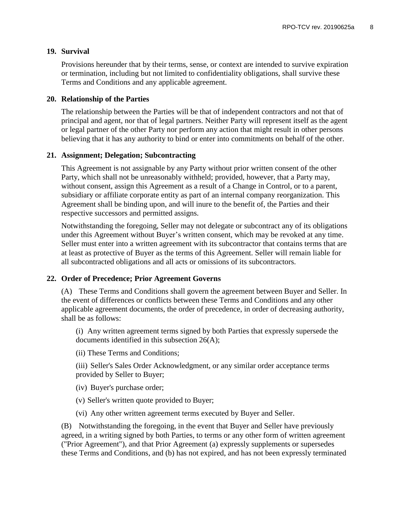### **19. Survival**

Provisions hereunder that by their terms, sense, or context are intended to survive expiration or termination, including but not limited to confidentiality obligations, shall survive these Terms and Conditions and any applicable agreement.

#### **20. Relationship of the Parties**

The relationship between the Parties will be that of independent contractors and not that of principal and agent, nor that of legal partners. Neither Party will represent itself as the agent or legal partner of the other Party nor perform any action that might result in other persons believing that it has any authority to bind or enter into commitments on behalf of the other.

#### **21. Assignment; Delegation; Subcontracting**

This Agreement is not assignable by any Party without prior written consent of the other Party, which shall not be unreasonably withheld; provided, however, that a Party may, without consent, assign this Agreement as a result of a Change in Control, or to a parent, subsidiary or affiliate corporate entity as part of an internal company reorganization. This Agreement shall be binding upon, and will inure to the benefit of, the Parties and their respective successors and permitted assigns.

Notwithstanding the foregoing, Seller may not delegate or subcontract any of its obligations under this Agreement without Buyer's written consent, which may be revoked at any time. Seller must enter into a written agreement with its subcontractor that contains terms that are at least as protective of Buyer as the terms of this Agreement. Seller will remain liable for all subcontracted obligations and all acts or omissions of its subcontractors.

### **22. Order of Precedence; Prior Agreement Governs**

(A) These Terms and Conditions shall govern the agreement between Buyer and Seller. In the event of differences or conflicts between these Terms and Conditions and any other applicable agreement documents, the order of precedence, in order of decreasing authority, shall be as follows:

(i) Any written agreement terms signed by both Parties that expressly supersede the documents identified in this subsection 26(A);

(ii) These Terms and Conditions;

(iii) Seller's Sales Order Acknowledgment, or any similar order acceptance terms provided by Seller to Buyer;

- (iv) Buyer's purchase order;
- (v) Seller's written quote provided to Buyer;
- (vi) Any other written agreement terms executed by Buyer and Seller.

(B) Notwithstanding the foregoing, in the event that Buyer and Seller have previously agreed, in a writing signed by both Parties, to terms or any other form of written agreement ("Prior Agreement"), and that Prior Agreement (a) expressly supplements or supersedes these Terms and Conditions, and (b) has not expired, and has not been expressly terminated